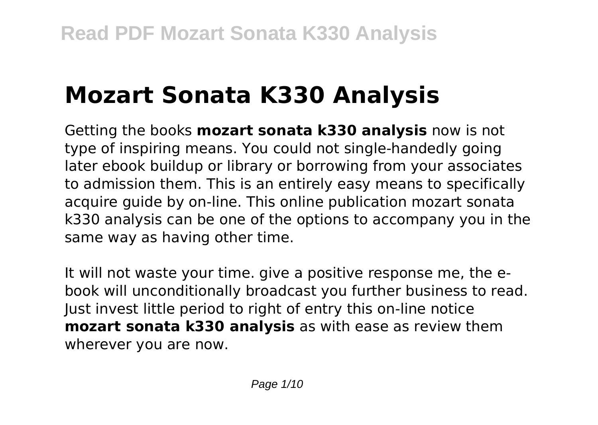# **Mozart Sonata K330 Analysis**

Getting the books **mozart sonata k330 analysis** now is not type of inspiring means. You could not single-handedly going later ebook buildup or library or borrowing from your associates to admission them. This is an entirely easy means to specifically acquire quide by on-line. This online publication mozart sonata k330 analysis can be one of the options to accompany you in the same way as having other time.

It will not waste your time. give a positive response me, the ebook will unconditionally broadcast you further business to read. Just invest little period to right of entry this on-line notice **mozart sonata k330 analysis** as with ease as review them wherever you are now.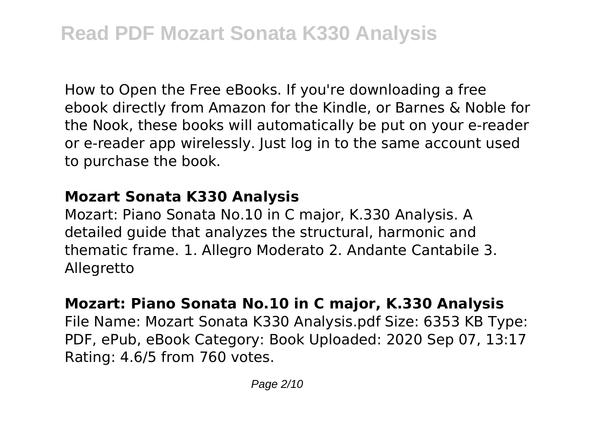How to Open the Free eBooks. If you're downloading a free ebook directly from Amazon for the Kindle, or Barnes & Noble for the Nook, these books will automatically be put on your e-reader or e-reader app wirelessly. Just log in to the same account used to purchase the book.

### **Mozart Sonata K330 Analysis**

Mozart: Piano Sonata No.10 in C major, K.330 Analysis. A detailed guide that analyzes the structural, harmonic and thematic frame. 1. Allegro Moderato 2. Andante Cantabile 3. Allegretto

### **Mozart: Piano Sonata No.10 in C major, K.330 Analysis**

File Name: Mozart Sonata K330 Analysis.pdf Size: 6353 KB Type: PDF, ePub, eBook Category: Book Uploaded: 2020 Sep 07, 13:17 Rating: 4.6/5 from 760 votes.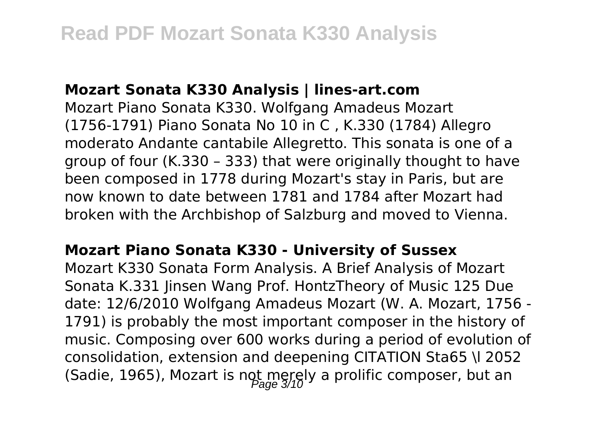#### **Mozart Sonata K330 Analysis | lines-art.com**

Mozart Piano Sonata K330. Wolfgang Amadeus Mozart (1756-1791) Piano Sonata No 10 in C , K.330 (1784) Allegro moderato Andante cantabile Allegretto. This sonata is one of a group of four (K.330 – 333) that were originally thought to have been composed in 1778 during Mozart's stay in Paris, but are now known to date between 1781 and 1784 after Mozart had broken with the Archbishop of Salzburg and moved to Vienna.

### **Mozart Piano Sonata K330 - University of Sussex**

Mozart K330 Sonata Form Analysis. A Brief Analysis of Mozart Sonata K.331 Jinsen Wang Prof. HontzTheory of Music 125 Due date: 12/6/2010 Wolfgang Amadeus Mozart (W. A. Mozart, 1756 - 1791) is probably the most important composer in the history of music. Composing over 600 works during a period of evolution of consolidation, extension and deepening CITATION Sta65 \l 2052 (Sadie, 1965), Mozart is not merely a prolific composer, but an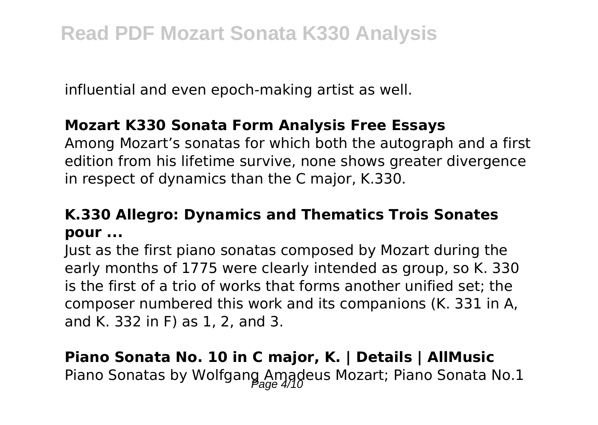influential and even epoch-making artist as well.

### **Mozart K330 Sonata Form Analysis Free Essays**

Among Mozart's sonatas for which both the autograph and a first edition from his lifetime survive, none shows greater divergence in respect of dynamics than the C major, K.330.

## **K.330 Allegro: Dynamics and Thematics Trois Sonates pour ...**

Just as the first piano sonatas composed by Mozart during the early months of 1775 were clearly intended as group, so K. 330 is the first of a trio of works that forms another unified set; the composer numbered this work and its companions (K. 331 in A, and K. 332 in F) as 1, 2, and 3.

### **Piano Sonata No. 10 in C major, K. | Details | AllMusic**

Piano Sonatas by Wolfgang Amadeus Mozart; Piano Sonata No.1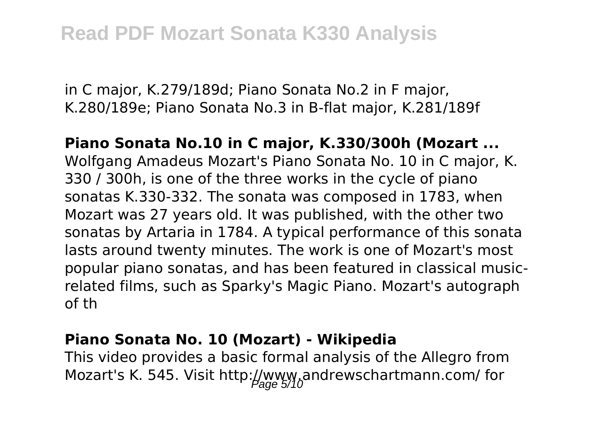in C major, K.279/189d; Piano Sonata No.2 in F major, K.280/189e; Piano Sonata No.3 in B-flat major, K.281/189f

### **Piano Sonata No.10 in C major, K.330/300h (Mozart ...**

Wolfgang Amadeus Mozart's Piano Sonata No. 10 in C major, K. 330 / 300h, is one of the three works in the cycle of piano sonatas K.330-332. The sonata was composed in 1783, when Mozart was 27 years old. It was published, with the other two sonatas by Artaria in 1784. A typical performance of this sonata lasts around twenty minutes. The work is one of Mozart's most popular piano sonatas, and has been featured in classical musicrelated films, such as Sparky's Magic Piano. Mozart's autograph of th

### **Piano Sonata No. 10 (Mozart) - Wikipedia**

This video provides a basic formal analysis of the Allegro from Mozart's K. 545. Visit http://www.andrewschartmann.com/ for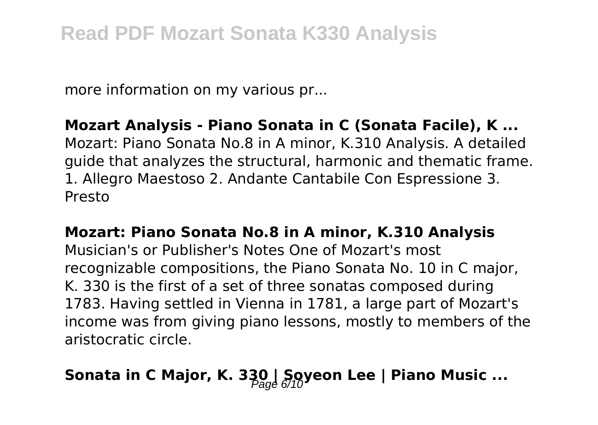more information on my various pr...

**Mozart Analysis - Piano Sonata in C (Sonata Facile), K ...** Mozart: Piano Sonata No.8 in A minor, K.310 Analysis. A detailed guide that analyzes the structural, harmonic and thematic frame. 1. Allegro Maestoso 2. Andante Cantabile Con Espressione 3. Presto

**Mozart: Piano Sonata No.8 in A minor, K.310 Analysis** Musician's or Publisher's Notes One of Mozart's most recognizable compositions, the Piano Sonata No. 10 in C major, K. 330 is the first of a set of three sonatas composed during 1783. Having settled in Vienna in 1781, a large part of Mozart's income was from giving piano lessons, mostly to members of the aristocratic circle.

## Sonata in C Major, K. 330 | Solgeon Lee | Piano Music ...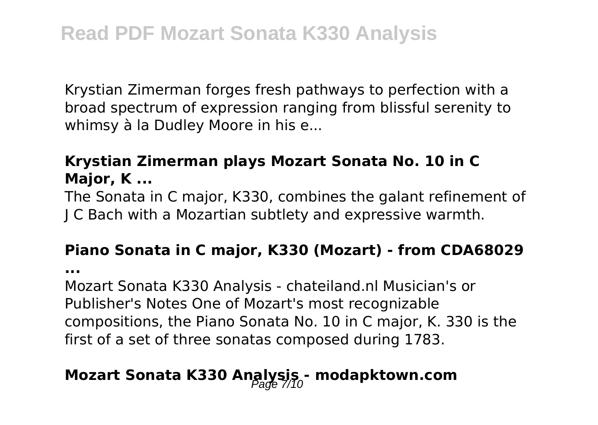Krystian Zimerman forges fresh pathways to perfection with a broad spectrum of expression ranging from blissful serenity to whimsy à la Dudley Moore in his e...

## **Krystian Zimerman plays Mozart Sonata No. 10 in C Major, K ...**

The Sonata in C major, K330, combines the galant refinement of J C Bach with a Mozartian subtlety and expressive warmth.

### **Piano Sonata in C major, K330 (Mozart) - from CDA68029**

**...**

Mozart Sonata K330 Analysis - chateiland.nl Musician's or Publisher's Notes One of Mozart's most recognizable compositions, the Piano Sonata No. 10 in C major, K. 330 is the first of a set of three sonatas composed during 1783.

## **Mozart Sonata K330 Analysis - modapktown.com**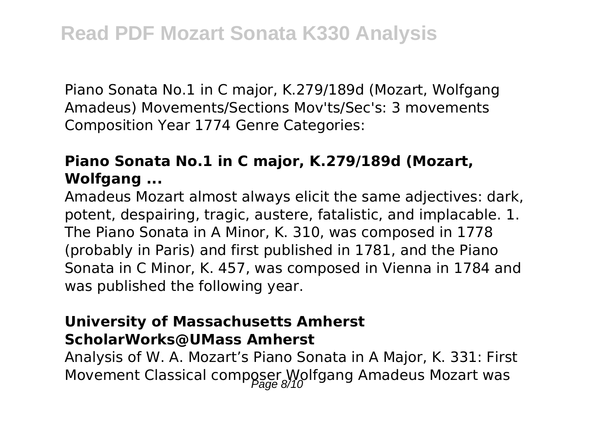Piano Sonata No.1 in C major, K.279/189d (Mozart, Wolfgang Amadeus) Movements/Sections Mov'ts/Sec's: 3 movements Composition Year 1774 Genre Categories:

### **Piano Sonata No.1 in C major, K.279/189d (Mozart, Wolfgang ...**

Amadeus Mozart almost always elicit the same adjectives: dark, potent, despairing, tragic, austere, fatalistic, and implacable. 1. The Piano Sonata in A Minor, K. 310, was composed in 1778 (probably in Paris) and first published in 1781, and the Piano Sonata in C Minor, K. 457, was composed in Vienna in 1784 and was published the following year.

### **University of Massachusetts Amherst ScholarWorks@UMass Amherst**

Analysis of W. A. Mozart's Piano Sonata in A Major, K. 331: First Movement Classical composer Wolfgang Amadeus Mozart was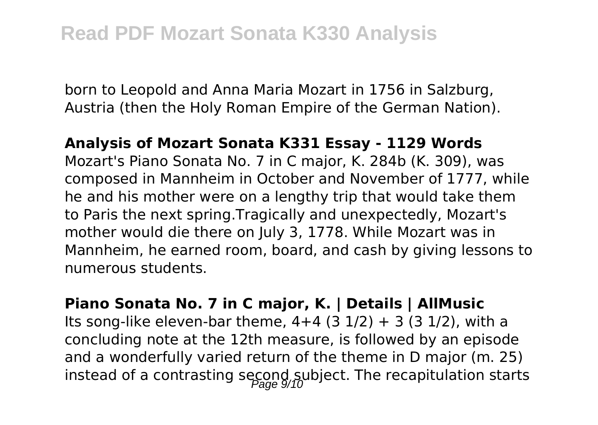born to Leopold and Anna Maria Mozart in 1756 in Salzburg, Austria (then the Holy Roman Empire of the German Nation).

#### **Analysis of Mozart Sonata K331 Essay - 1129 Words**

Mozart's Piano Sonata No. 7 in C major, K. 284b (K. 309), was composed in Mannheim in October and November of 1777, while he and his mother were on a lengthy trip that would take them to Paris the next spring.Tragically and unexpectedly, Mozart's mother would die there on July 3, 1778. While Mozart was in Mannheim, he earned room, board, and cash by giving lessons to numerous students.

### **Piano Sonata No. 7 in C major, K. | Details | AllMusic**

Its song-like eleven-bar theme,  $4+4$  (3  $1/2$ ) + 3 (3  $1/2$ ), with a concluding note at the 12th measure, is followed by an episode and a wonderfully varied return of the theme in D major (m. 25) instead of a contrasting second subject. The recapitulation starts